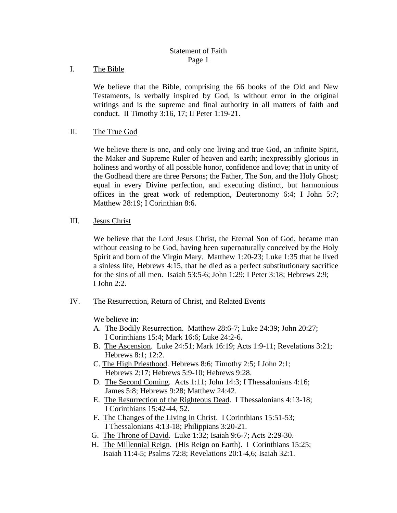# Statement of Faith Page 1

I. The Bible

We believe that the Bible, comprising the 66 books of the Old and New Testaments, is verbally inspired by God, is without error in the original writings and is the supreme and final authority in all matters of faith and conduct. II Timothy 3:16, 17; II Peter 1:19-21.

II. The True God

We believe there is one, and only one living and true God, an infinite Spirit, the Maker and Supreme Ruler of heaven and earth; inexpressibly glorious in holiness and worthy of all possible honor, confidence and love; that in unity of the Godhead there are three Persons; the Father, The Son, and the Holy Ghost; equal in every Divine perfection, and executing distinct, but harmonious offices in the great work of redemption, Deuteronomy 6:4; I John 5:7; Matthew 28:19; I Corinthian 8:6.

III. Jesus Christ

We believe that the Lord Jesus Christ, the Eternal Son of God, became man without ceasing to be God, having been supernaturally conceived by the Holy Spirit and born of the Virgin Mary. Matthew 1:20-23; Luke 1:35 that he lived a sinless life, Hebrews 4:15, that he died as a perfect substitutionary sacrifice for the sins of all men. Isaiah 53:5-6; John 1:29; I Peter 3:18; Hebrews 2:9; I John 2:2.

IV. The Resurrection, Return of Christ, and Related Events

We believe in:

- A. The Bodily Resurrection. Matthew 28:6-7; Luke 24:39; John 20:27; I Corinthians 15:4; Mark 16:6; Luke 24:2-6.
- B. The Ascension. Luke 24:51; Mark 16:19; Acts 1:9-11; Revelations 3:21; Hebrews 8:1; 12:2.
- C. The High Priesthood. Hebrews 8:6; Timothy 2:5; I John 2:1; Hebrews 2:17; Hebrews 5:9-10; Hebrews 9:28.
- D. The Second Coming. Acts 1:11; John 14:3; I Thessalonians 4:16; James 5:8; Hebrews 9:28; Matthew 24:42.
- E. The Resurrection of the Righteous Dead. I Thessalonians 4:13-18; I Corinthians 15:42-44, 52.
- F. The Changes of the Living in Christ. I Corinthians 15:51-53; I Thessalonians 4:13-18; Philippians 3:20-21.
- G. The Throne of David. Luke 1:32; Isaiah 9:6-7; Acts 2:29-30.
- H. The Millennial Reign. (His Reign on Earth). I Corinthians 15:25; Isaiah 11:4-5; Psalms 72:8; Revelations 20:1-4,6; Isaiah 32:1.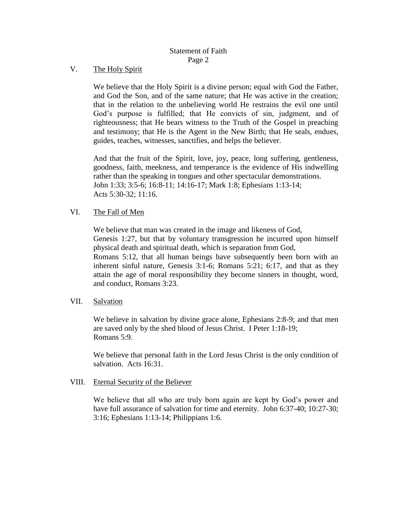## V. The Holy Spirit

We believe that the Holy Spirit is a divine person; equal with God the Father, and God the Son, and of the same nature; that He was active in the creation; that in the relation to the unbelieving world He restrains the evil one until God's purpose is fulfilled; that He convicts of sin, judgment, and of righteousness; that He bears witness to the Truth of the Gospel in preaching and testimony; that He is the Agent in the New Birth; that He seals, endues, guides, teaches, witnesses, sanctifies, and helps the believer.

And that the fruit of the Spirit, love, joy, peace, long suffering, gentleness, goodness, faith, meekness, and temperance is the evidence of His indwelling rather than the speaking in tongues and other spectacular demonstrations. John 1:33; 3:5-6; 16:8-11; 14:16-17; Mark 1:8; Ephesians 1:13-14; Acts 5:30-32; 11:16.

### VI. The Fall of Men

We believe that man was created in the image and likeness of God, Genesis 1:27, but that by voluntary transgression he incurred upon himself physical death and spiritual death, which is separation from God, Romans 5:12, that all human beings have subsequently been born with an inherent sinful nature, Genesis 3:1-6; Romans 5:21; 6:17, and that as they attain the age of moral responsibility they become sinners in thought, word, and conduct, Romans 3:23.

#### VII. Salvation

We believe in salvation by divine grace alone, Ephesians 2:8-9; and that men are saved only by the shed blood of Jesus Christ. I Peter 1:18-19; Romans 5:9.

We believe that personal faith in the Lord Jesus Christ is the only condition of salvation. Acts 16:31.

#### VIII. Eternal Security of the Believer

We believe that all who are truly born again are kept by God's power and have full assurance of salvation for time and eternity. John 6:37-40; 10:27-30; 3:16; Ephesians 1:13-14; Philippians 1:6.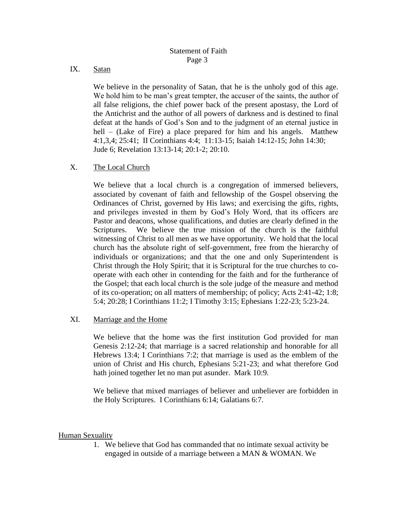## IX. Satan

We believe in the personality of Satan, that he is the unholy god of this age. We hold him to be man's great tempter, the accuser of the saints, the author of all false religions, the chief power back of the present apostasy, the Lord of the Antichrist and the author of all powers of darkness and is destined to final defeat at the hands of God's Son and to the judgment of an eternal justice in hell – (Lake of Fire) a place prepared for him and his angels. Matthew 4:1,3,4; 25:41; II Corinthians 4:4; 11:13-15; Isaiah 14:12-15; John 14:30; Jude 6; Revelation 13:13-14; 20:1-2; 20:10.

## X. The Local Church

We believe that a local church is a congregation of immersed believers, associated by covenant of faith and fellowship of the Gospel observing the Ordinances of Christ, governed by His laws; and exercising the gifts, rights, and privileges invested in them by God's Holy Word, that its officers are Pastor and deacons, whose qualifications, and duties are clearly defined in the Scriptures. We believe the true mission of the church is the faithful witnessing of Christ to all men as we have opportunity. We hold that the local church has the absolute right of self-government, free from the hierarchy of individuals or organizations; and that the one and only Superintendent is Christ through the Holy Spirit; that it is Scriptural for the true churches to cooperate with each other in contending for the faith and for the furtherance of the Gospel; that each local church is the sole judge of the measure and method of its co-operation; on all matters of membership; of policy; Acts 2:41-42; 1:8; 5:4; 20:28; I Corinthians 11:2; I Timothy 3:15; Ephesians 1:22-23; 5:23-24.

### XI. Marriage and the Home

We believe that the home was the first institution God provided for man Genesis 2:12-24; that marriage is a sacred relationship and honorable for all Hebrews 13:4; I Corinthians 7:2; that marriage is used as the emblem of the union of Christ and His church, Ephesians 5:21-23; and what therefore God hath joined together let no man put asunder. Mark 10:9.

We believe that mixed marriages of believer and unbeliever are forbidden in the Holy Scriptures. I Corinthians 6:14; Galatians 6:7.

### Human Sexuality

1. We believe that God has commanded that no intimate sexual activity be engaged in outside of a marriage between a MAN & WOMAN. We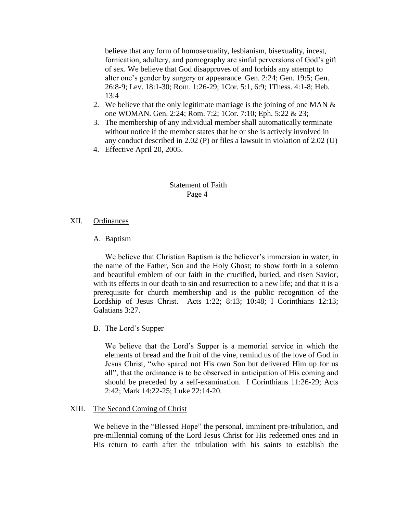believe that any form of homosexuality, lesbianism, bisexuality, incest, fornication, adultery, and pornography are sinful perversions of God's gift of sex. We believe that God disapproves of and forbids any attempt to alter one's gender by surgery or appearance. Gen. 2:24; Gen. 19:5; Gen. 26:8-9; Lev. 18:1-30; Rom. 1:26-29; 1Cor. 5:1, 6:9; 1Thess. 4:1-8; Heb. 13:4

- 2. We believe that the only legitimate marriage is the joining of one MAN  $\&$ one WOMAN. Gen. 2:24; Rom. 7:2; 1Cor. 7:10; Eph. 5:22 & 23;
- 3. The membership of any individual member shall automatically terminate without notice if the member states that he or she is actively involved in any conduct described in 2.02 (P) or files a lawsuit in violation of 2.02 (U)
- 4. Effective April 20, 2005.

## Statement of Faith Page 4

#### XII. Ordinances

### A. Baptism

We believe that Christian Baptism is the believer's immersion in water; in the name of the Father, Son and the Holy Ghost; to show forth in a solemn and beautiful emblem of our faith in the crucified, buried, and risen Savior, with its effects in our death to sin and resurrection to a new life; and that it is a prerequisite for church membership and is the public recognition of the Lordship of Jesus Christ. Acts 1:22; 8:13; 10:48; I Corinthians 12:13; Galatians 3:27.

B. The Lord's Supper

We believe that the Lord's Supper is a memorial service in which the elements of bread and the fruit of the vine, remind us of the love of God in Jesus Christ, "who spared not His own Son but delivered Him up for us all", that the ordinance is to be observed in anticipation of His coming and should be preceded by a self-examination. I Corinthians 11:26-29; Acts 2:42; Mark 14:22-25; Luke 22:14-20.

#### XIII. The Second Coming of Christ

We believe in the "Blessed Hope" the personal, imminent pre-tribulation, and pre-millennial coming of the Lord Jesus Christ for His redeemed ones and in His return to earth after the tribulation with his saints to establish the